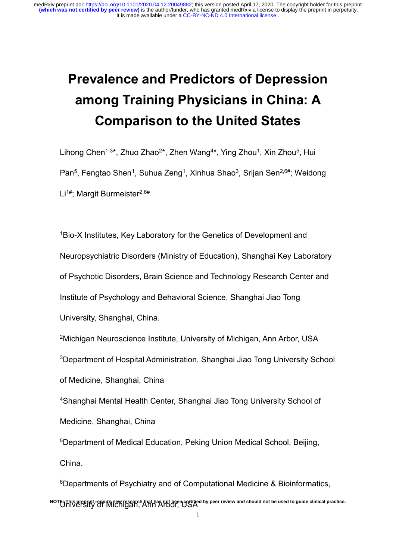# **Prevalence and Predictors of Depression among Training Physicians in China: A Comparison to the United States**

Lihong Chen<sup>1-3\*</sup>, Zhuo Zhao<sup>2\*</sup>, Zhen Wang<sup>4\*</sup>, Ying Zhou<sup>1</sup>, Xin Zhou<sup>5</sup>, Hui Pan<sup>5</sup>, Fengtao Shen<sup>1</sup>, Suhua Zeng<sup>1</sup>, Xinhua Shao<sup>3</sup>, Srijan Sen<sup>2,6#</sup>; Weidong Li<sup>1#</sup>: Margit Burmeister<sup>2,6#</sup>

<sup>1</sup>Bio-X Institutes, Key Laboratory for the Genetics of Development and Neuropsychiatric Disorders (Ministry of Education), Shanghai Key Laboratory of Psychotic Disorders, Brain Science and Technology Research Center and Institute of Psychology and Behavioral Science, Shanghai Jiao Tong University, Shanghai, China.

<sup>2</sup>Michigan Neuroscience Institute, University of Michigan, Ann Arbor, USA <sup>3</sup>Department of Hospital Administration, Shanghai Jiao Tong University School of Medicine, Shanghai, China

<sup>4</sup>Shanghai Mental Health Center, Shanghai Jiao Tong University School of Medicine, Shanghai, China

<sup>5</sup>Department of Medical Education, Peking Union Medical School, Beijing, China.

<sup>6</sup>Departments of Psychiatry and of Computational Medicine & Bioinformatics, NOTE: This preprint reports new research that has not been certified by peer review and should not be used to guide clinical practice.<br>THIVETSITY OF IVIICHIGAN, ANN ATDOI, USA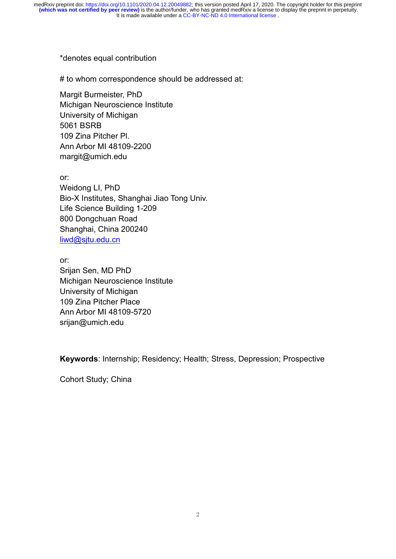#### \*denotes equal contribution

# to whom correspondence should be addressed at:

Margit Burmeister, PhD Michigan Neuroscience Institute University of Michigan 5061 BSRB 109 Zina Pitcher Pl. Ann Arbor MI 48109-2200 margit@umich.edu

or: Weidong LI, PhD Bio-X Institutes, Shanghai Jiao Tong Univ. Life Science Building 1-209 800 Dongchuan Road Shanghai, China 200240 [liwd@sjtu.edu.cn](mailto:liwd@sjtu.edu.cn)

or: Srijan Sen, MD PhD Michigan Neuroscience Institute University of Michigan 109 Zina Pitcher Place Ann Arbor MI 48109-5720 srijan@umich.edu

**Keywords**: Internship; Residency; Health; Stress, Depression; Prospective

Cohort Study; China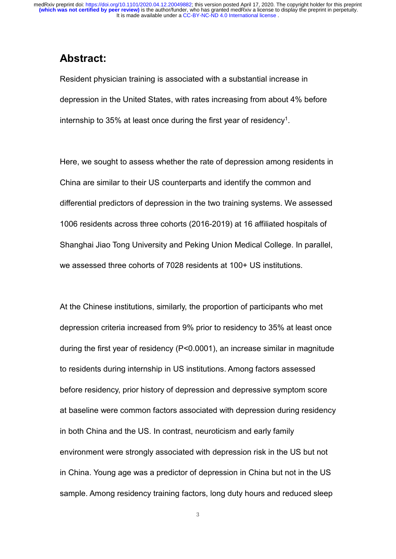## **Abstract:**

Resident physician training is associated with a substantial increase in depression in the United States, with rates increasing from about 4% before internship to 35% at least once during the first year of residency $^{\rm 1}.$ 

Here, we sought to assess whether the rate of depression among residents in China are similar to their US counterparts and identify the common and differential predictors of depression in the two training systems. We assessed 1006 residents across three cohorts (2016-2019) at 16 affiliated hospitals of Shanghai Jiao Tong University and Peking Union Medical College. In parallel, we assessed three cohorts of 7028 residents at 100+ US institutions.

At the Chinese institutions, similarly, the proportion of participants who met depression criteria increased from 9% prior to residency to 35% at least once during the first year of residency (P<0.0001), an increase similar in magnitude to residents during internship in US institutions. Among factors assessed before residency, prior history of depression and depressive symptom score at baseline were common factors associated with depression during residency in both China and the US. In contrast, neuroticism and early family environment were strongly associated with depression risk in the US but not in China. Young age was a predictor of depression in China but not in the US sample. Among residency training factors, long duty hours and reduced sleep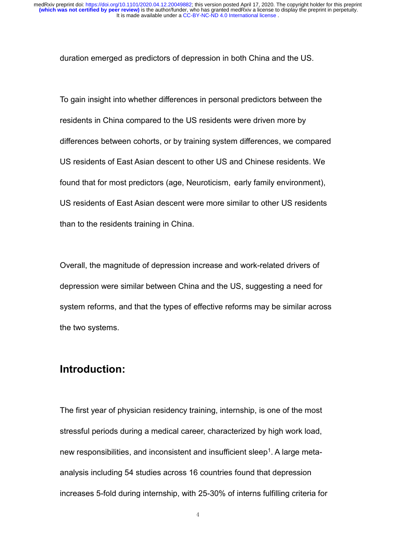duration emerged as predictors of depression in both China and the US.

To gain insight into whether differences in personal predictors between the residents in China compared to the US residents were driven more by differences between cohorts, or by training system differences, we compared US residents of East Asian descent to other US and Chinese residents. We found that for most predictors (age, Neuroticism, early family environment), US residents of East Asian descent were more similar to other US residents than to the residents training in China.

Overall, the magnitude of depression increase and work-related drivers of depression were similar between China and the US, suggesting a need for system reforms, and that the types of effective reforms may be similar across the two systems.

## **Introduction:**

The first year of physician residency training, internship, is one of the most stressful periods during a medical career, characterized by high work load, new responsibilities, and inconsistent and insufficient sleep<sup>1</sup>. A large metaanalysis including 54 studies across 16 countries found that depression increases 5-fold during internship, with 25-30% of interns fulfilling criteria for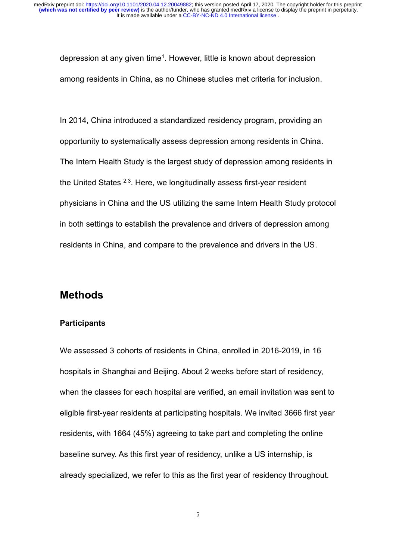depression at any given time<sup>1</sup>. However, little is known about depression among residents in China, as no Chinese studies met criteria for inclusion.

In 2014, China introduced a standardized residency program, providing an opportunity to systematically assess depression among residents in China. The Intern Health Study is the largest study of depression among residents in the United States <sup>2,3</sup>. Here, we longitudinally assess first-year resident physicians in China and the US utilizing the same Intern Health Study protocol in both settings to establish the prevalence and drivers of depression among residents in China, and compare to the prevalence and drivers in the US.

## **Methods**

#### **Participants**

We assessed 3 cohorts of residents in China, enrolled in 2016-2019, in 16 hospitals in Shanghai and Beijing. About 2 weeks before start of residency, when the classes for each hospital are verified, an email invitation was sent to eligible first-year residents at participating hospitals. We invited 3666 first year residents, with 1664 (45%) agreeing to take part and completing the online baseline survey. As this first year of residency, unlike a US internship, is already specialized, we refer to this as the first year of residency throughout.

5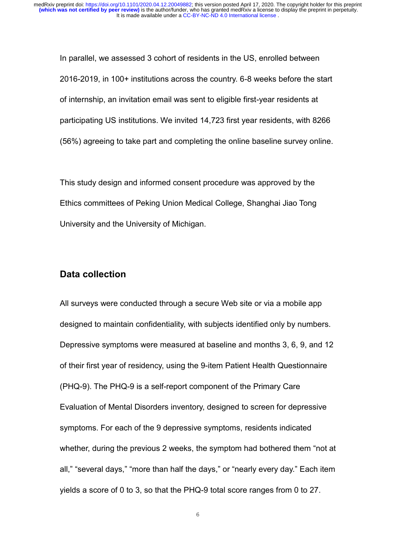In parallel, we assessed 3 cohort of residents in the US, enrolled between 2016-2019, in 100+ institutions across the country. 6-8 weeks before the start of internship, an invitation email was sent to eligible first-year residents at participating US institutions. We invited 14,723 first year residents, with 8266 (56%) agreeing to take part and completing the online baseline survey online.

This study design and informed consent procedure was approved by the Ethics committees of Peking Union Medical College, Shanghai Jiao Tong University and the University of Michigan.

#### **Data collection**

All surveys were conducted through a secure Web site or via a mobile app designed to maintain confidentiality, with subjects identified only by numbers. Depressive symptoms were measured at baseline and months 3, 6, 9, and 12 of their first year of residency, using the 9-item Patient Health Questionnaire (PHQ-9). The PHQ-9 is a self-report component of the Primary Care Evaluation of Mental Disorders inventory, designed to screen for depressive symptoms. For each of the 9 depressive symptoms, residents indicated whether, during the previous 2 weeks, the symptom had bothered them "not at all," "several days," "more than half the days," or "nearly every day." Each item yields a score of 0 to 3, so that the PHQ-9 total score ranges from 0 to 27.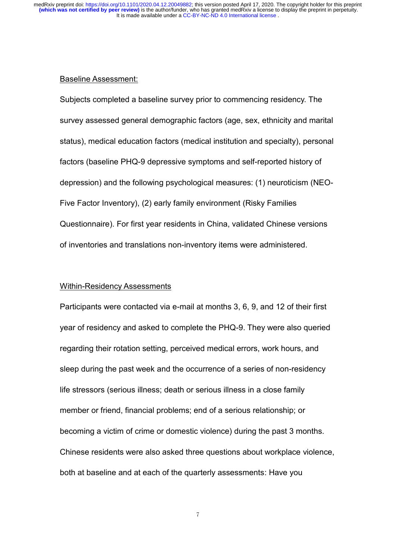#### Baseline Assessment:

Subjects completed a baseline survey prior to commencing residency. The survey assessed general demographic factors (age, sex, ethnicity and marital status), medical education factors (medical institution and specialty), personal factors (baseline PHQ-9 depressive symptoms and self-reported history of depression) and the following psychological measures: (1) neuroticism (NEO-Five Factor Inventory), (2) early family environment (Risky Families Questionnaire). For first year residents in China, validated Chinese versions of inventories and translations non-inventory items were administered.

#### Within-Residency Assessments

Participants were contacted via e-mail at months 3, 6, 9, and 12 of their first year of residency and asked to complete the PHQ-9. They were also queried regarding their rotation setting, perceived medical errors, work hours, and sleep during the past week and the occurrence of a series of non-residency life stressors (serious illness; death or serious illness in a close family member or friend, financial problems; end of a serious relationship; or becoming a victim of crime or domestic violence) during the past 3 months. Chinese residents were also asked three questions about workplace violence, both at baseline and at each of the quarterly assessments: Have you

7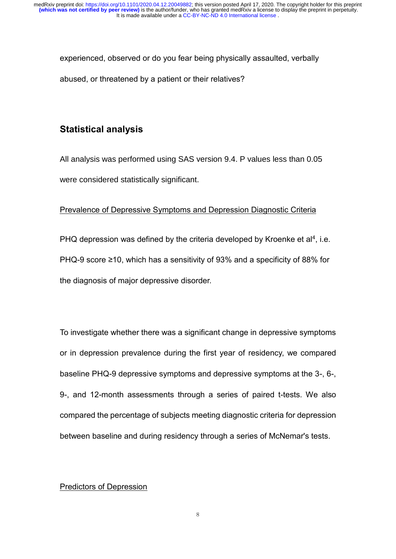experienced, observed or do you fear being physically assaulted, verbally abused, or threatened by a patient or their relatives?

## **Statistical analysis**

All analysis was performed using SAS version 9.4. P values less than 0.05 were considered statistically significant.

#### Prevalence of Depressive Symptoms and Depression Diagnostic Criteria

PHQ depression was defined by the criteria developed by Kroenke et al<sup>4</sup>, i.e. PHQ-9 score ≥10, which has a sensitivity of 93% and a specificity of 88% for the diagnosis of major depressive disorder.

To investigate whether there was a significant change in depressive symptoms or in depression prevalence during the first year of residency, we compared baseline PHQ-9 depressive symptoms and depressive symptoms at the 3-, 6-, 9-, and 12-month assessments through a series of paired t-tests. We also compared the percentage of subjects meeting diagnostic criteria for depression between baseline and during residency through a series of McNemar's tests.

#### Predictors of Depression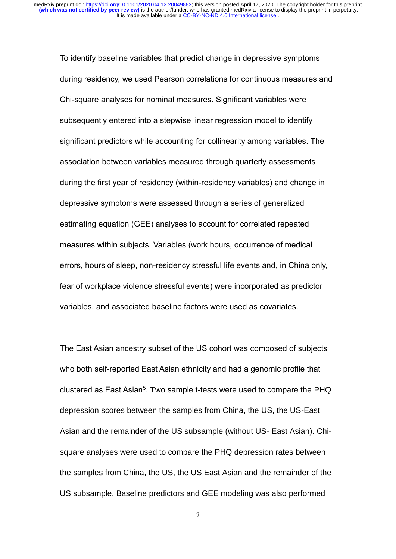To identify baseline variables that predict change in depressive symptoms during residency, we used Pearson correlations for continuous measures and Chi-square analyses for nominal measures. Significant variables were subsequently entered into a stepwise linear regression model to identify significant predictors while accounting for collinearity among variables. The association between variables measured through quarterly assessments during the first year of residency (within-residency variables) and change in depressive symptoms were assessed through a series of generalized estimating equation (GEE) analyses to account for correlated repeated measures within subjects. Variables (work hours, occurrence of medical errors, hours of sleep, non-residency stressful life events and, in China only, fear of workplace violence stressful events) were incorporated as predictor variables, and associated baseline factors were used as covariates.

The East Asian ancestry subset of the US cohort was composed of subjects who both self-reported East Asian ethnicity and had a genomic profile that clustered as East Asian<sup>5</sup>. Two sample t-tests were used to compare the PHQ depression scores between the samples from China, the US, the US-East Asian and the remainder of the US subsample (without US- East Asian). Chisquare analyses were used to compare the PHQ depression rates between the samples from China, the US, the US East Asian and the remainder of the US subsample. Baseline predictors and GEE modeling was also performed

9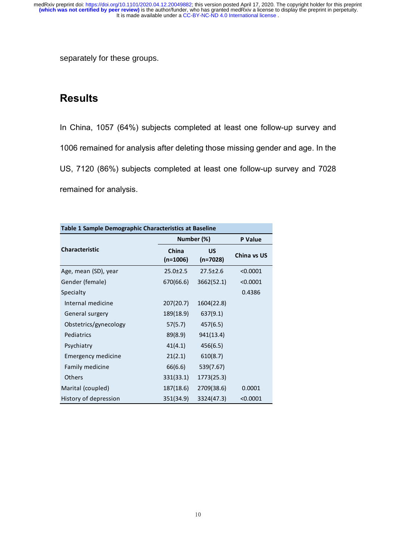separately for these groups.

## **Results**

In China, 1057 (64%) subjects completed at least one follow-up survey and 1006 remained for analysis after deleting those missing gender and age. In the US, 7120 (86%) subjects completed at least one follow-up survey and 7028 remained for analysis.

| Table 1 Sample Demographic Characteristics at Baseline |                     |                  |             |  |  |  |
|--------------------------------------------------------|---------------------|------------------|-------------|--|--|--|
|                                                        | Number (%)          | <b>P</b> Value   |             |  |  |  |
| <b>Characteristic</b>                                  | China<br>$(n=1006)$ | US<br>$(n=7028)$ | China vs US |  |  |  |
| Age, mean (SD), year                                   | $25.0 \pm 2.5$      | $27.5 \pm 2.6$   | < 0.0001    |  |  |  |
| Gender (female)                                        | 670(66.6)           | 3662(52.1)       | < 0.0001    |  |  |  |
| Specialty                                              |                     |                  | 0.4386      |  |  |  |
| Internal medicine                                      | 207(20.7)           | 1604(22.8)       |             |  |  |  |
| General surgery                                        | 189(18.9)           | 637(9.1)         |             |  |  |  |
| Obstetrics/gynecology                                  | 57(5.7)             | 457(6.5)         |             |  |  |  |
| Pediatrics                                             | 89(8.9)             | 941(13.4)        |             |  |  |  |
| Psychiatry                                             | 41(4.1)             | 456(6.5)         |             |  |  |  |
| Emergency medicine                                     | 21(2.1)             | 610(8.7)         |             |  |  |  |
| Family medicine                                        | 66(6.6)             | 539(7.67)        |             |  |  |  |
| <b>Others</b>                                          | 331(33.1)           | 1773(25.3)       |             |  |  |  |
| Marital (coupled)                                      | 187(18.6)           | 2709(38.6)       | 0.0001      |  |  |  |
| History of depression                                  | 351(34.9)           | 3324(47.3)       | < 0.0001    |  |  |  |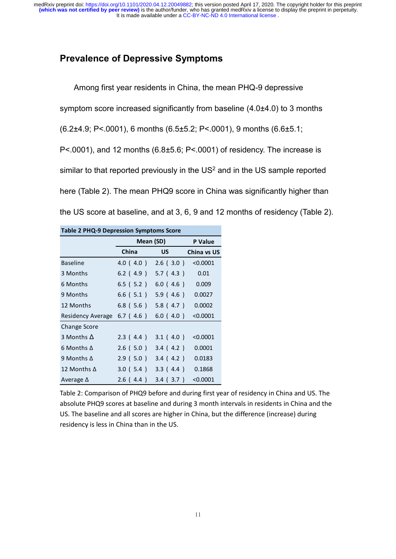#### **Prevalence of Depressive Symptoms**

Among first year residents in China, the mean PHQ-9 depressive symptom score increased significantly from baseline (4.0±4.0) to 3 months (6.2±4.9; P<.0001), 6 months (6.5±5.2; P<.0001), 9 months (6.6±5.1; P<.0001), and 12 months (6.8±5.6; P<.0001) of residency. The increase is similar to that reported previously in the  $US<sup>2</sup>$  and in the US sample reported here (Table 2). The mean PHQ9 score in China was significantly higher than the US score at baseline, and at 3, 6, 9 and 12 months of residency (Table 2).

| <b>Table 2 PHQ-9 Depression Symptoms Score</b> |                 |             |             |  |  |
|------------------------------------------------|-----------------|-------------|-------------|--|--|
|                                                | Mean (SD)       | P Value     |             |  |  |
|                                                | China           | US          | China vs US |  |  |
| <b>Baseline</b>                                | 4.0(4.0)        | 2.6(3.0)    | < 0.0001    |  |  |
| 3 Months                                       | $6.2$ (4.9)     | 5.7(4.3)    | 0.01        |  |  |
| 6 Months                                       | $6.5$ ( $5.2$ ) | 6.0(4.6)    | 0.009       |  |  |
| 9 Months                                       | $6.6$ ( $5.1$ ) | 5.9 (4.6)   | 0.0027      |  |  |
| 12 Months                                      | $6.8$ (5.6)     | 5.8 ( 4.7 ) | 0.0002      |  |  |
| Residency Average                              | $6.7$ (4.6)     | 6.0(4.0)    | < 0.0001    |  |  |
| Change Score                                   |                 |             |             |  |  |
| 3 Months $\Delta$                              | 2.3(4.4)        | 3.1(4.0)    | < 0.0001    |  |  |
| 6 Months $\Delta$                              | $2.6$ (5.0)     | 3.4 (4.2)   | 0.0001      |  |  |
| 9 Months $\Delta$                              | 2.9(5.0)        | 3.4 (4.2)   | 0.0183      |  |  |
| 12 Months Δ                                    | 3.0(5.4)        | 3.3(4.4)    | 0.1868      |  |  |
| Average $\Delta$                               | 2.6(4.4)        | 3.4 ( 3.7 ) | < 0.0001    |  |  |

Table 2: Comparison of PHQ9 before and during first year of residency in China and US. The absolute PHQ9 scores at baseline and during 3 month intervals in residents in China and the US. The baseline and all scores are higher in China, but the difference (increase) during residency is less in China than in the US.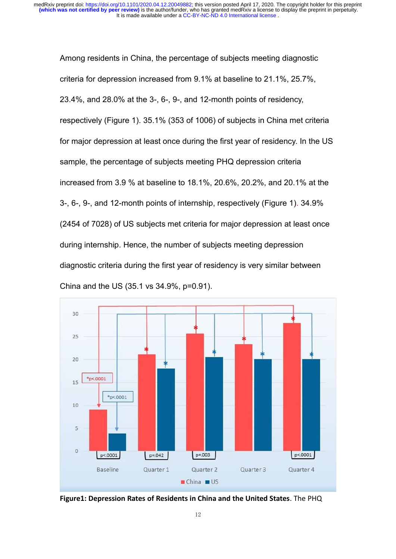It is made available under a [CC-BY-NC-ND 4.0 International license](http://creativecommons.org/licenses/by-nc-nd/4.0/) . **(which was not certified by peer review)** is the author/funder, who has granted medRxiv a license to display the preprint in perpetuity. medRxiv preprint doi: [https://doi.org/10.1101/2020.04.12.20049882;](https://doi.org/10.1101/2020.04.12.20049882) this version posted April 17, 2020. The copyright holder for this preprint

Among residents in China, the percentage of subjects meeting diagnostic criteria for depression increased from 9.1% at baseline to 21.1%, 25.7%, 23.4%, and 28.0% at the 3-, 6-, 9-, and 12-month points of residency, respectively (Figure 1). 35.1% (353 of 1006) of subjects in China met criteria for major depression at least once during the first year of residency. In the US sample, the percentage of subjects meeting PHQ depression criteria increased from 3.9 % at baseline to 18.1%, 20.6%, 20.2%, and 20.1% at the 3-, 6-, 9-, and 12-month points of internship, respectively (Figure 1). 34.9% (2454 of 7028) of US subjects met criteria for major depression at least once during internship. Hence, the number of subjects meeting depression diagnostic criteria during the first year of residency is very similar between China and the US (35.1 vs 34.9%, p=0.91).



**Figure1: Depression Rates of Residents in China and the United States**. The PHQ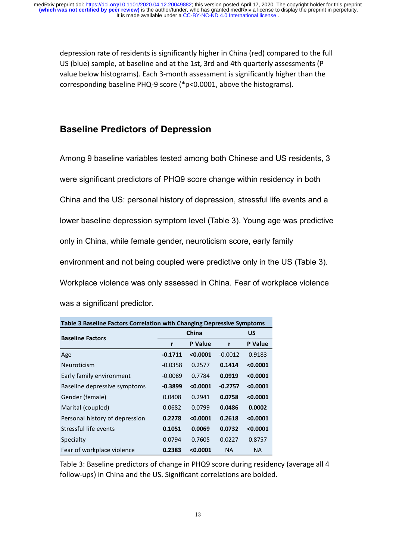depression rate of residents is significantly higher in China (red) compared to the full US (blue) sample, at baseline and at the 1st, 3rd and 4th quarterly assessments (P value below histograms). Each 3-month assessment is significantly higher than the corresponding baseline PHQ-9 score (\*p<0.0001, above the histograms).

## **Baseline Predictors of Depression**

Among 9 baseline variables tested among both Chinese and US residents, 3 were significant predictors of PHQ9 score change within residency in both China and the US: personal history of depression, stressful life events and a lower baseline depression symptom level (Table 3). Young age was predictive only in China, while female gender, neuroticism score, early family environment and not being coupled were predictive only in the US (Table 3). Workplace violence was only assessed in China. Fear of workplace violence was a significant predictor.

| Table 3 Baseline Factors Correlation with Changing Depressive Symptoms |                     |          |           |                |  |  |
|------------------------------------------------------------------------|---------------------|----------|-----------|----------------|--|--|
| <b>Baseline Factors</b>                                                |                     | China    |           | US             |  |  |
|                                                                        | <b>P</b> Value<br>r |          | r         | <b>P</b> Value |  |  |
| Age                                                                    | $-0.1711$           | < 0.0001 | $-0.0012$ | 0.9183         |  |  |
| Neuroticism                                                            | $-0.0358$           | 0.2577   | 0.1414    | < 0.0001       |  |  |
| Early family environment                                               | $-0.0089$           | 0.7784   | 0.0919    | < 0.0001       |  |  |
| Baseline depressive symptoms                                           | $-0.3899$           | < 0.0001 | $-0.2757$ | < 0.0001       |  |  |
| Gender (female)                                                        | 0.0408              | 0.2941   | 0.0758    | < 0.0001       |  |  |
| Marital (coupled)                                                      | 0.0682              | 0.0799   | 0.0486    | 0.0002         |  |  |
| Personal history of depression                                         | 0.2278              | < 0.0001 | 0.2618    | < 0.0001       |  |  |
| Stressful life events                                                  | 0.1051              | 0.0069   | 0.0732    | < 0.0001       |  |  |
| Specialty                                                              | 0.0794              | 0.7605   | 0.0227    | 0.8757         |  |  |
| Fear of workplace violence                                             | 0.2383              | < 0.0001 | <b>NA</b> | <b>NA</b>      |  |  |

Table 3: Baseline predictors of change in PHQ9 score during residency (average all 4 follow-ups) in China and the US. Significant correlations are bolded.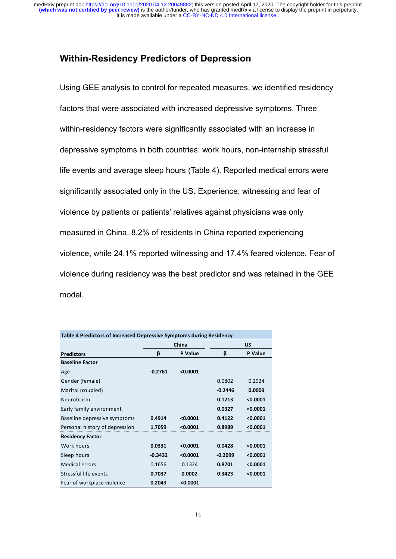### **Within-Residency Predictors of Depression**

Using GEE analysis to control for repeated measures, we identified residency factors that were associated with increased depressive symptoms. Three within-residency factors were significantly associated with an increase in depressive symptoms in both countries: work hours, non-internship stressful life events and average sleep hours (Table 4). Reported medical errors were significantly associated only in the US. Experience, witnessing and fear of violence by patients or patients' relatives against physicians was only measured in China. 8.2% of residents in China reported experiencing violence, while 24.1% reported witnessing and 17.4% feared violence. Fear of violence during residency was the best predictor and was retained in the GEE model.

| Table 4 Predictors of Increased Depressive Symptoms during Residency |           |          |           |          |  |
|----------------------------------------------------------------------|-----------|----------|-----------|----------|--|
|                                                                      | China     |          |           | US       |  |
| <b>Predictors</b>                                                    | β         | P Value  | β         | P Value  |  |
| <b>Baseline Factor</b>                                               |           |          |           |          |  |
| Age                                                                  | $-0.2761$ | < 0.0001 |           |          |  |
| Gender (female)                                                      |           |          | 0.0802    | 0.2924   |  |
| Marital (coupled)                                                    |           |          | $-0.2446$ | 0.0009   |  |
| Neuroticism                                                          |           |          | 0.1213    | < 0.0001 |  |
| Early family environment                                             |           |          | 0.0327    | < 0.0001 |  |
| Baseline depressive symptoms                                         | 0.4914    | < 0.0001 | 0.4122    | < 0.0001 |  |
| Personal history of depression                                       | 1.7059    | < 0.0001 | 0.8989    | < 0.0001 |  |
| <b>Residency Factor</b>                                              |           |          |           |          |  |
| <b>Work hours</b>                                                    | 0.0331    | < 0.0001 | 0.0428    | < 0.0001 |  |
| Sleep hours                                                          | $-0.3432$ | < 0.0001 | $-0.2099$ | < 0.0001 |  |
| <b>Medical errors</b>                                                | 0.1656    | 0.1324   | 0.8701    | < 0.0001 |  |
| Stressful life events                                                | 0.7037    | 0.0002   | 0.3423    | < 0.0001 |  |
| Fear of workplace violence                                           | 0.2043    | < 0.0001 |           |          |  |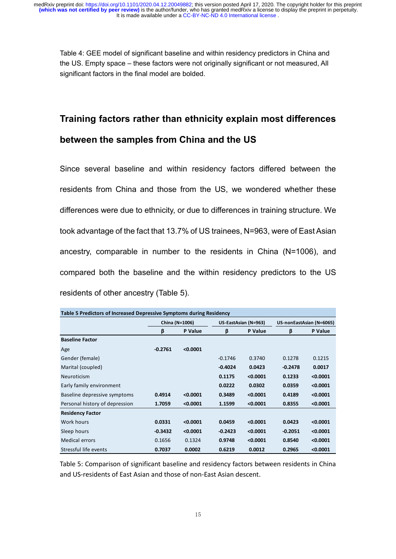Table 4: GEE model of significant baseline and within residency predictors in China and the US. Empty space – these factors were not originally significant or not measured, All significant factors in the final model are bolded.

## **Training factors rather than ethnicity explain most differences between the samples from China and the US**

Since several baseline and within residency factors differed between the residents from China and those from the US, we wondered whether these differences were due to ethnicity, or due to differences in training structure. We took advantage of the fact that 13.7% of US trainees, N=963, were of East Asian ancestry, comparable in number to the residents in China (N=1006), and compared both the baseline and the within residency predictors to the US residents of other ancestry (Table 5).

| Table 5 Predictors of Increased Depressive Symptoms during Residency |           |                |           |                      |           |                          |  |
|----------------------------------------------------------------------|-----------|----------------|-----------|----------------------|-----------|--------------------------|--|
|                                                                      |           | China (N=1006) |           | US-EastAsian (N=963) |           | US-nonEastAsian (N=6065) |  |
|                                                                      | β         | P Value        | β         | P Value              | β         | P Value                  |  |
| <b>Baseline Factor</b>                                               |           |                |           |                      |           |                          |  |
| Age                                                                  | $-0.2761$ | < 0.0001       |           |                      |           |                          |  |
| Gender (female)                                                      |           |                | $-0.1746$ | 0.3740               | 0.1278    | 0.1215                   |  |
| Marital (coupled)                                                    |           |                | $-0.4024$ | 0.0423               | $-0.2478$ | 0.0017                   |  |
| <b>Neuroticism</b>                                                   |           |                | 0.1175    | < 0.0001             | 0.1233    | < 0.0001                 |  |
| Early family environment                                             |           |                | 0.0222    | 0.0302               | 0.0359    | < 0.0001                 |  |
| Baseline depressive symptoms                                         | 0.4914    | < 0.0001       | 0.3489    | < 0.0001             | 0.4189    | < 0.0001                 |  |
| Personal history of depression                                       | 1.7059    | < 0.0001       | 1.1599    | < 0.0001             | 0.8355    | < 0.0001                 |  |
| <b>Residency Factor</b>                                              |           |                |           |                      |           |                          |  |
| Work hours                                                           | 0.0331    | < 0.0001       | 0.0459    | < 0.0001             | 0.0423    | < 0.0001                 |  |
| Sleep hours                                                          | $-0.3432$ | < 0.0001       | $-0.2423$ | < 0.0001             | $-0.2051$ | < 0.0001                 |  |
| <b>Medical errors</b>                                                | 0.1656    | 0.1324         | 0.9748    | < 0.0001             | 0.8540    | < 0.0001                 |  |
| Stressful life events                                                | 0.7037    | 0.0002         | 0.6219    | 0.0012               | 0.2965    | < 0.0001                 |  |

Table 5: Comparison of significant baseline and residency factors between residents in China and US-residents of East Asian and those of non-East Asian descent.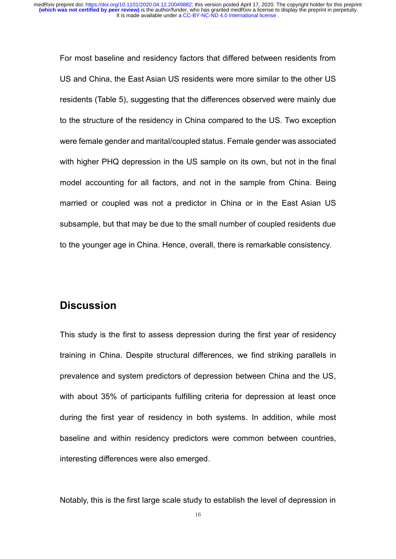For most baseline and residency factors that differed between residents from US and China, the East Asian US residents were more similar to the other US residents (Table 5), suggesting that the differences observed were mainly due to the structure of the residency in China compared to the US. Two exception were female gender and marital/coupled status. Female gender was associated with higher PHQ depression in the US sample on its own, but not in the final model accounting for all factors, and not in the sample from China. Being married or coupled was not a predictor in China or in the East Asian US subsample, but that may be due to the small number of coupled residents due to the younger age in China. Hence, overall, there is remarkable consistency.

## **Discussion**

This study is the first to assess depression during the first year of residency training in China. Despite structural differences, we find striking parallels in prevalence and system predictors of depression between China and the US, with about 35% of participants fulfilling criteria for depression at least once during the first year of residency in both systems. In addition, while most baseline and within residency predictors were common between countries, interesting differences were also emerged.

Notably, this is the first large scale study to establish the level of depression in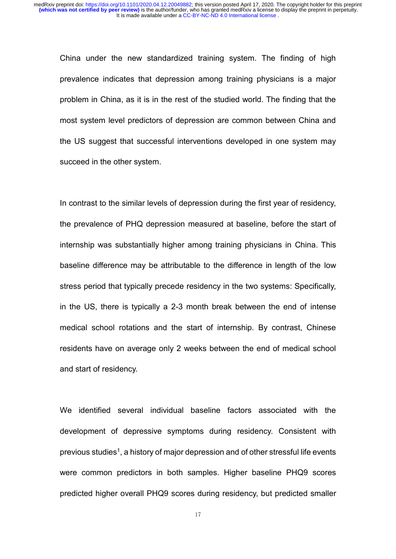China under the new standardized training system. The finding of high prevalence indicates that depression among training physicians is a major problem in China, as it is in the rest of the studied world. The finding that the most system level predictors of depression are common between China and the US suggest that successful interventions developed in one system may succeed in the other system.

In contrast to the similar levels of depression during the first year of residency, the prevalence of PHQ depression measured at baseline, before the start of internship was substantially higher among training physicians in China. This baseline difference may be attributable to the difference in length of the low stress period that typically precede residency in the two systems: Specifically, in the US, there is typically a 2-3 month break between the end of intense medical school rotations and the start of internship. By contrast, Chinese residents have on average only 2 weeks between the end of medical school and start of residency.

We identified several individual baseline factors associated with the development of depressive symptoms during residency. Consistent with previous studies<sup>1</sup>, a history of major depression and of other stressful life events were common predictors in both samples. Higher baseline PHQ9 scores predicted higher overall PHQ9 scores during residency, but predicted smaller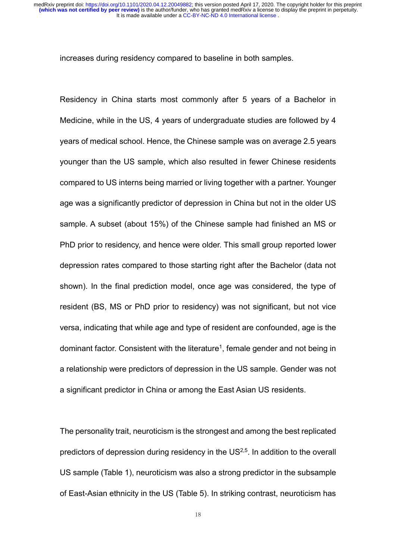increases during residency compared to baseline in both samples.

Residency in China starts most commonly after 5 years of a Bachelor in Medicine, while in the US, 4 years of undergraduate studies are followed by 4 years of medical school. Hence, the Chinese sample was on average 2.5 years younger than the US sample, which also resulted in fewer Chinese residents compared to US interns being married or living together with a partner. Younger age was a significantly predictor of depression in China but not in the older US sample. A subset (about 15%) of the Chinese sample had finished an MS or PhD prior to residency, and hence were older. This small group reported lower depression rates compared to those starting right after the Bachelor (data not shown). In the final prediction model, once age was considered, the type of resident (BS, MS or PhD prior to residency) was not significant, but not vice versa, indicating that while age and type of resident are confounded, age is the dominant factor. Consistent with the literature<sup>1</sup>, female gender and not being in a relationship were predictors of depression in the US sample. Gender was not a significant predictor in China or among the East Asian US residents.

The personality trait, neuroticism is the strongest and among the best replicated predictors of depression during residency in the  $US<sup>2,5</sup>$ . In addition to the overall US sample (Table 1), neuroticism was also a strong predictor in the subsample of East-Asian ethnicity in the US (Table 5). In striking contrast, neuroticism has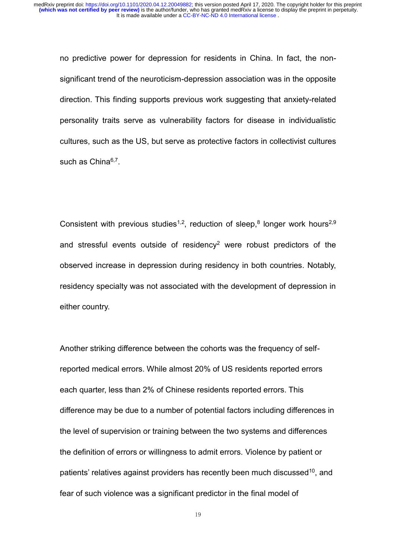no predictive power for depression for residents in China. In fact, the nonsignificant trend of the neuroticism-depression association was in the opposite direction. This finding supports previous work suggesting that anxiety-related personality traits serve as vulnerability factors for disease in individualistic cultures, such as the US, but serve as protective factors in collectivist cultures such as China<sup>6,7</sup>.

Consistent with previous studies<sup>1,2</sup>, reduction of sleep,<sup>8</sup> longer work hours<sup>2,9</sup> and stressful events outside of residency<sup>2</sup> were robust predictors of the observed increase in depression during residency in both countries. Notably, residency specialty was not associated with the development of depression in either country.

Another striking difference between the cohorts was the frequency of selfreported medical errors. While almost 20% of US residents reported errors each quarter, less than 2% of Chinese residents reported errors. This difference may be due to a number of potential factors including differences in the level of supervision or training between the two systems and differences the definition of errors or willingness to admit errors. Violence by patient or patients' relatives against providers has recently been much discussed<sup>10</sup>, and fear of such violence was a significant predictor in the final model of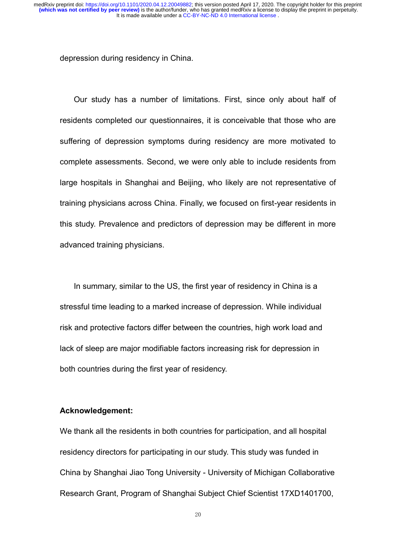depression during residency in China.

Our study has a number of limitations. First, since only about half of residents completed our questionnaires, it is conceivable that those who are suffering of depression symptoms during residency are more motivated to complete assessments. Second, we were only able to include residents from large hospitals in Shanghai and Beijing, who likely are not representative of training physicians across China. Finally, we focused on first-year residents in this study. Prevalence and predictors of depression may be different in more advanced training physicians.

In summary, similar to the US, the first year of residency in China is a stressful time leading to a marked increase of depression. While individual risk and protective factors differ between the countries, high work load and lack of sleep are major modifiable factors increasing risk for depression in both countries during the first year of residency.

#### **Acknowledgement:**

We thank all the residents in both countries for participation, and all hospital residency directors for participating in our study. This study was funded in China by Shanghai Jiao Tong University - University of Michigan Collaborative Research Grant, Program of Shanghai Subject Chief Scientist 17XD1401700,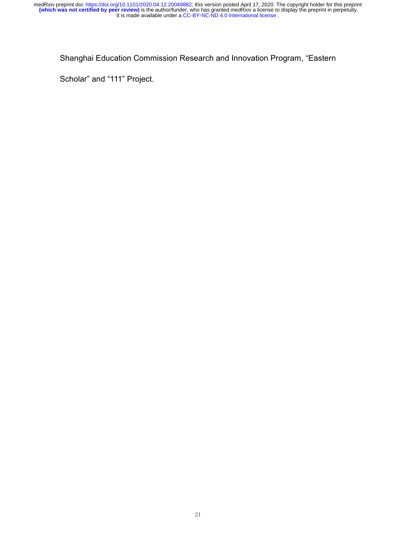#### Shanghai Education Commission Research and Innovation Program, "Eastern

Scholar" and "111" Project.